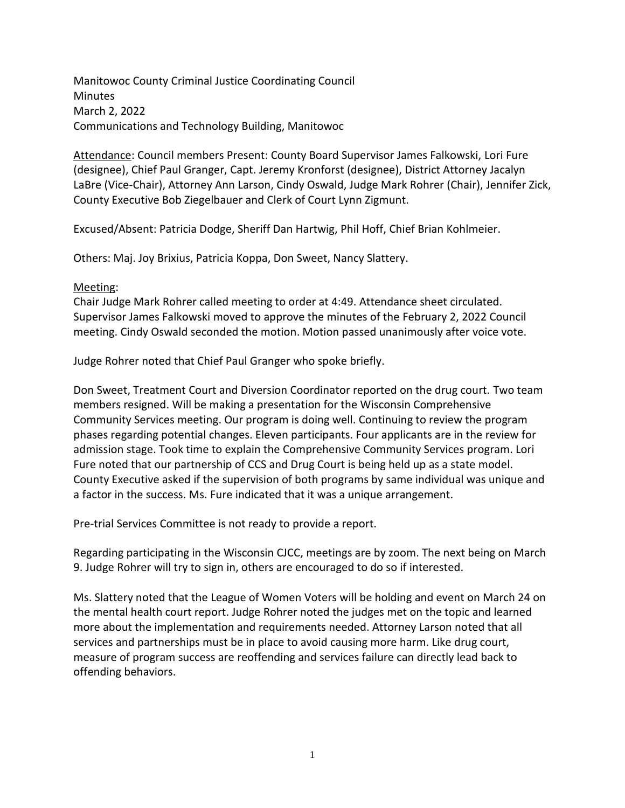Manitowoc County Criminal Justice Coordinating Council Minutes March 2, 2022 Communications and Technology Building, Manitowoc

Attendance: Council members Present: County Board Supervisor James Falkowski, Lori Fure (designee), Chief Paul Granger, Capt. Jeremy Kronforst (designee), District Attorney Jacalyn LaBre (Vice-Chair), Attorney Ann Larson, Cindy Oswald, Judge Mark Rohrer (Chair), Jennifer Zick, County Executive Bob Ziegelbauer and Clerk of Court Lynn Zigmunt.

Excused/Absent: Patricia Dodge, Sheriff Dan Hartwig, Phil Hoff, Chief Brian Kohlmeier.

Others: Maj. Joy Brixius, Patricia Koppa, Don Sweet, Nancy Slattery.

## Meeting:

Chair Judge Mark Rohrer called meeting to order at 4:49. Attendance sheet circulated. Supervisor James Falkowski moved to approve the minutes of the February 2, 2022 Council meeting. Cindy Oswald seconded the motion. Motion passed unanimously after voice vote.

Judge Rohrer noted that Chief Paul Granger who spoke briefly.

Don Sweet, Treatment Court and Diversion Coordinator reported on the drug court. Two team members resigned. Will be making a presentation for the Wisconsin Comprehensive Community Services meeting. Our program is doing well. Continuing to review the program phases regarding potential changes. Eleven participants. Four applicants are in the review for admission stage. Took time to explain the Comprehensive Community Services program. Lori Fure noted that our partnership of CCS and Drug Court is being held up as a state model. County Executive asked if the supervision of both programs by same individual was unique and a factor in the success. Ms. Fure indicated that it was a unique arrangement.

Pre-trial Services Committee is not ready to provide a report.

Regarding participating in the Wisconsin CJCC, meetings are by zoom. The next being on March 9. Judge Rohrer will try to sign in, others are encouraged to do so if interested.

Ms. Slattery noted that the League of Women Voters will be holding and event on March 24 on the mental health court report. Judge Rohrer noted the judges met on the topic and learned more about the implementation and requirements needed. Attorney Larson noted that all services and partnerships must be in place to avoid causing more harm. Like drug court, measure of program success are reoffending and services failure can directly lead back to offending behaviors.